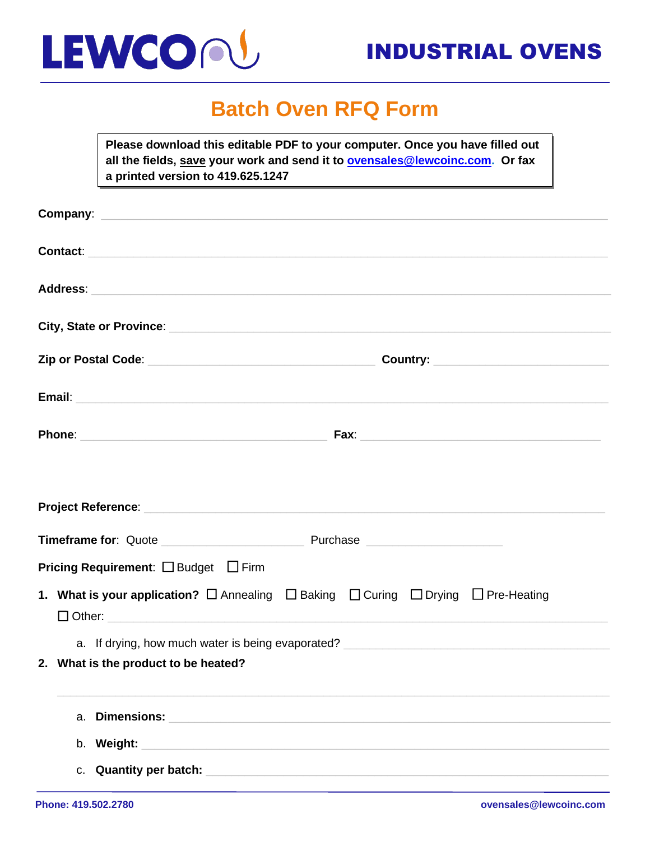

### **Batch Oven RFQ Form**

**Please download this editable PDF to your computer. Once you have filled out all the fields, save your work and send it to [ovensales@lewcoinc.com.](mailto:ovensales@lewcoinc.com) Or fax a printed version to 419.625.1247**

| Company: <u>company:</u>                                                                                                                                                                                                            |    |                                                                                                                   |  |  |  |  |  |  |
|-------------------------------------------------------------------------------------------------------------------------------------------------------------------------------------------------------------------------------------|----|-------------------------------------------------------------------------------------------------------------------|--|--|--|--|--|--|
| Contact: <u>Contact:</u> Contact: Contact: Contact: Contact: Contact: Contact: Contact: Contact: Contact: Contact: Contact: Contact: Contact: Contact: Contact: Contact: Contact: Contact: Contact: Contact: Contact: Contact: Cont |    |                                                                                                                   |  |  |  |  |  |  |
|                                                                                                                                                                                                                                     |    |                                                                                                                   |  |  |  |  |  |  |
|                                                                                                                                                                                                                                     |    | City, State or Province: City, State or Province:                                                                 |  |  |  |  |  |  |
|                                                                                                                                                                                                                                     |    | Country: _________________________________                                                                        |  |  |  |  |  |  |
|                                                                                                                                                                                                                                     |    |                                                                                                                   |  |  |  |  |  |  |
|                                                                                                                                                                                                                                     |    |                                                                                                                   |  |  |  |  |  |  |
|                                                                                                                                                                                                                                     |    |                                                                                                                   |  |  |  |  |  |  |
|                                                                                                                                                                                                                                     |    |                                                                                                                   |  |  |  |  |  |  |
|                                                                                                                                                                                                                                     |    | <b>Pricing Requirement:</b> $\Box$ Budget $\Box$ Firm                                                             |  |  |  |  |  |  |
|                                                                                                                                                                                                                                     |    | <b>1. What is your application?</b> $\Box$ Annealing $\Box$ Baking $\Box$ Curing $\Box$ Drying $\Box$ Pre-Heating |  |  |  |  |  |  |
|                                                                                                                                                                                                                                     |    | 2. What is the product to be heated?                                                                              |  |  |  |  |  |  |
|                                                                                                                                                                                                                                     | a. | <b>Dimensions:</b>                                                                                                |  |  |  |  |  |  |
|                                                                                                                                                                                                                                     |    | b. Weight:<br><u> 1989 - Johann Barbara, martxa alemaniar arg</u>                                                 |  |  |  |  |  |  |
|                                                                                                                                                                                                                                     |    | c. Quantity per batch:                                                                                            |  |  |  |  |  |  |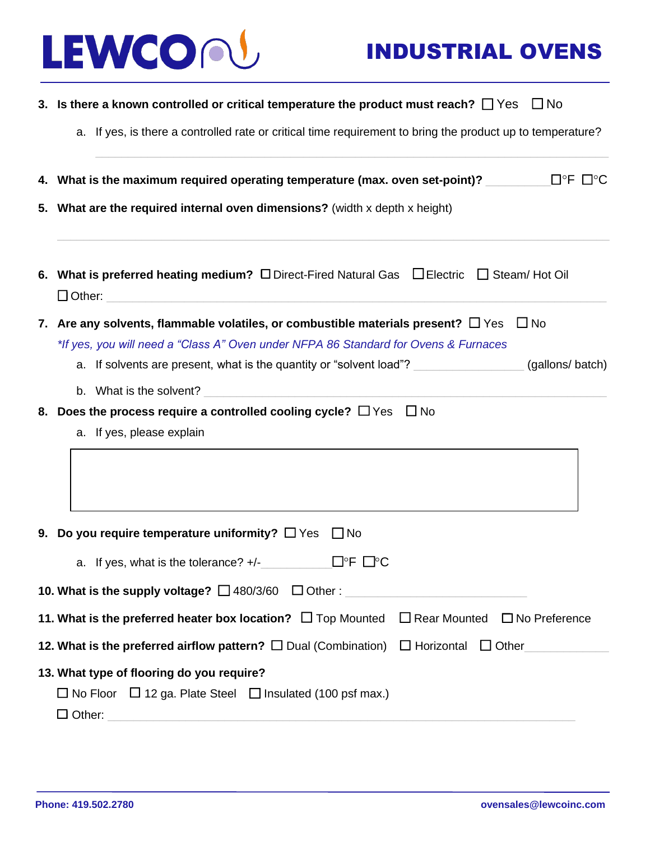

|  | 3. Is there a known controlled or critical temperature the product must reach? $\Box$ Yes $\Box$ No                                             |  |  |  |  |  |  |  |
|--|-------------------------------------------------------------------------------------------------------------------------------------------------|--|--|--|--|--|--|--|
|  | a. If yes, is there a controlled rate or critical time requirement to bring the product up to temperature?                                      |  |  |  |  |  |  |  |
|  | $\square$ <sup>o</sup> F $\square$ <sup>o</sup> C<br>4. What is the maximum required operating temperature (max. oven set-point)?               |  |  |  |  |  |  |  |
|  | 5. What are the required internal oven dimensions? (width x depth x height)                                                                     |  |  |  |  |  |  |  |
|  | 6. What is preferred heating medium? $\square$ Direct-Fired Natural Gas $\square$ Electric $\square$ Steam/ Hot Oil                             |  |  |  |  |  |  |  |
|  | $\Box$ No<br>7. Are any solvents, flammable volatiles, or combustible materials present? $\Box$ Yes                                             |  |  |  |  |  |  |  |
|  | *If yes, you will need a "Class A" Oven under NFPA 86 Standard for Ovens & Furnaces                                                             |  |  |  |  |  |  |  |
|  | a. If solvents are present, what is the quantity or "solvent load"?<br>(gallons/batch)                                                          |  |  |  |  |  |  |  |
|  | b. What is the solvent?<br><u> 1980 - John Stein, mars and de families and de families and descriptions and descriptions of the stein state</u> |  |  |  |  |  |  |  |
|  | 8. Does the process require a controlled cooling cycle? $\Box$ Yes $\Box$ No                                                                    |  |  |  |  |  |  |  |
|  | a. If yes, please explain                                                                                                                       |  |  |  |  |  |  |  |
|  |                                                                                                                                                 |  |  |  |  |  |  |  |
|  | 9. Do you require temperature uniformity? $\Box$ Yes<br>$\Box$ No                                                                               |  |  |  |  |  |  |  |
|  |                                                                                                                                                 |  |  |  |  |  |  |  |
|  | 10. What is the supply voltage? $\Box$ 480/3/60 $\Box$ Other :                                                                                  |  |  |  |  |  |  |  |
|  | $\Box$ Rear Mounted $\Box$ No Preference<br>11. What is the preferred heater box location? $\Box$ Top Mounted                                   |  |  |  |  |  |  |  |
|  | 12. What is the preferred airflow pattern? $\square$ Dual (Combination) $\square$ Horizontal<br>$\Box$ Other                                    |  |  |  |  |  |  |  |
|  | 13. What type of flooring do you require?                                                                                                       |  |  |  |  |  |  |  |
|  | $\Box$ No Floor $\Box$ 12 ga. Plate Steel $\Box$ Insulated (100 psf max.)                                                                       |  |  |  |  |  |  |  |
|  | $\Box$ Other:                                                                                                                                   |  |  |  |  |  |  |  |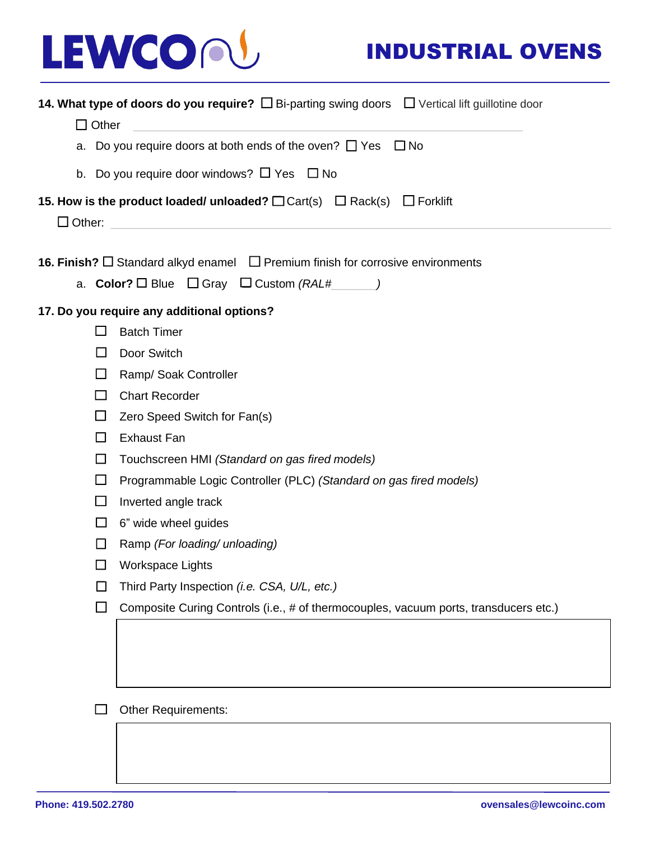# LEWCON

## INDUSTRIAL OVENS

| <b>14. What type of doors do you require?</b> $\Box$ Bi-parting swing doors $\Box$ Vertical lift guillotine door |                                                                                                  |  |  |  |  |  |  |  |  |  |  |
|------------------------------------------------------------------------------------------------------------------|--------------------------------------------------------------------------------------------------|--|--|--|--|--|--|--|--|--|--|
|                                                                                                                  | $\Box$ Other                                                                                     |  |  |  |  |  |  |  |  |  |  |
|                                                                                                                  | a. Do you require doors at both ends of the oven? $\Box$ Yes<br>$\square$ No                     |  |  |  |  |  |  |  |  |  |  |
|                                                                                                                  | b. Do you require door windows? $\Box$ Yes $\Box$ No                                             |  |  |  |  |  |  |  |  |  |  |
| 15. How is the product loaded/ unloaded? $\Box$ Cart(s) $\Box$ Rack(s)<br>$\Box$ Forklift                        |                                                                                                  |  |  |  |  |  |  |  |  |  |  |
| $\Box$ Other:                                                                                                    |                                                                                                  |  |  |  |  |  |  |  |  |  |  |
|                                                                                                                  | <b>16. Finish?</b> $\Box$ Standard alkyd enamel $\Box$ Premium finish for corrosive environments |  |  |  |  |  |  |  |  |  |  |
| a. <b>Color?</b> $\Box$ Blue $\Box$ Gray $\Box$ Custom (RAL#_______)                                             |                                                                                                  |  |  |  |  |  |  |  |  |  |  |
|                                                                                                                  | 17. Do you require any additional options?                                                       |  |  |  |  |  |  |  |  |  |  |
| $\Box$                                                                                                           | <b>Batch Timer</b>                                                                               |  |  |  |  |  |  |  |  |  |  |
| $\Box$                                                                                                           | Door Switch                                                                                      |  |  |  |  |  |  |  |  |  |  |
| $\Box$                                                                                                           | Ramp/ Soak Controller                                                                            |  |  |  |  |  |  |  |  |  |  |
| $\Box$                                                                                                           | <b>Chart Recorder</b>                                                                            |  |  |  |  |  |  |  |  |  |  |
| $\Box$                                                                                                           | Zero Speed Switch for Fan(s)                                                                     |  |  |  |  |  |  |  |  |  |  |
| □                                                                                                                | <b>Exhaust Fan</b>                                                                               |  |  |  |  |  |  |  |  |  |  |
| □                                                                                                                | Touchscreen HMI (Standard on gas fired models)                                                   |  |  |  |  |  |  |  |  |  |  |
| $\Box$                                                                                                           | Programmable Logic Controller (PLC) (Standard on gas fired models)                               |  |  |  |  |  |  |  |  |  |  |
| □                                                                                                                | Inverted angle track                                                                             |  |  |  |  |  |  |  |  |  |  |
| $\Box$                                                                                                           | 6" wide wheel guides                                                                             |  |  |  |  |  |  |  |  |  |  |
| $\Box$                                                                                                           | Ramp (For loading/ unloading)                                                                    |  |  |  |  |  |  |  |  |  |  |
| □                                                                                                                | Workspace Lights                                                                                 |  |  |  |  |  |  |  |  |  |  |
|                                                                                                                  | Third Party Inspection (i.e. CSA, U/L, etc.)                                                     |  |  |  |  |  |  |  |  |  |  |
| $\mathcal{L}_{\mathcal{A}}$                                                                                      | Composite Curing Controls (i.e., # of thermocouples, vacuum ports, transducers etc.)             |  |  |  |  |  |  |  |  |  |  |
|                                                                                                                  |                                                                                                  |  |  |  |  |  |  |  |  |  |  |
|                                                                                                                  |                                                                                                  |  |  |  |  |  |  |  |  |  |  |
|                                                                                                                  |                                                                                                  |  |  |  |  |  |  |  |  |  |  |
|                                                                                                                  | <b>Other Requirements:</b>                                                                       |  |  |  |  |  |  |  |  |  |  |
|                                                                                                                  |                                                                                                  |  |  |  |  |  |  |  |  |  |  |
|                                                                                                                  |                                                                                                  |  |  |  |  |  |  |  |  |  |  |
|                                                                                                                  |                                                                                                  |  |  |  |  |  |  |  |  |  |  |